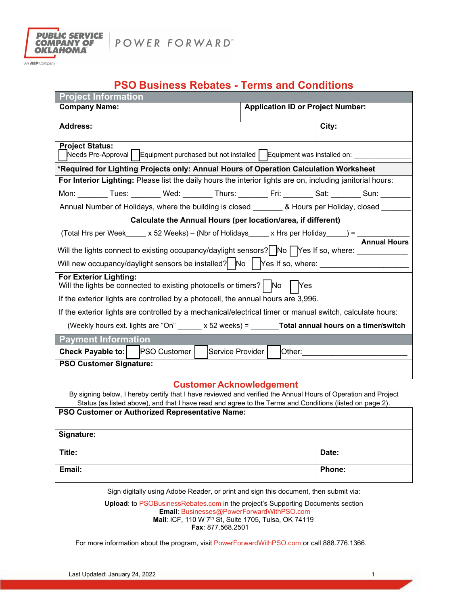

POWER FORWARD"

An **AEP** Company

## **PSO Business Rebates - Terms and Conditions**

| <b>Project Information</b>                                                                                                                                                                                                              |                                          |  |
|-----------------------------------------------------------------------------------------------------------------------------------------------------------------------------------------------------------------------------------------|------------------------------------------|--|
| <b>Company Name:</b>                                                                                                                                                                                                                    | <b>Application ID or Project Number:</b> |  |
|                                                                                                                                                                                                                                         |                                          |  |
| <b>Address:</b>                                                                                                                                                                                                                         | City:                                    |  |
| <b>Project Status:</b>                                                                                                                                                                                                                  |                                          |  |
| Needs Pre-Approval   Equipment purchased but not installed   Equipment was installed on: _____                                                                                                                                          |                                          |  |
| *Required for Lighting Projects only: Annual Hours of Operation Calculation Worksheet                                                                                                                                                   |                                          |  |
| For Interior Lighting: Please list the daily hours the interior lights are on, including janitorial hours:                                                                                                                              |                                          |  |
| Mon: _______ Tues: _______ Wed: _______ Thurs: _______ Fri: _______ Sat: _______ Sun: ______                                                                                                                                            |                                          |  |
| Annual Number of Holidays, where the building is closed ________ & Hours per Holiday, closed ____                                                                                                                                       |                                          |  |
| Calculate the Annual Hours (per location/area, if different)                                                                                                                                                                            |                                          |  |
|                                                                                                                                                                                                                                         |                                          |  |
| (Total Hrs per Week_____ x 52 Weeks) – (Nbr of Holidays_____ x Hrs per Holiday_____) = $\frac{1}{\sqrt{2\pi}}$<br>Will the lights connect to existing occupancy/daylight sensors? $\bigcap$ No $\bigcap$ Yes If so, where: ____________ |                                          |  |
|                                                                                                                                                                                                                                         |                                          |  |
| Will new occupancy/daylight sensors be installed? $\vert$ No $\vert$ Yes If so, where: ___________________                                                                                                                              |                                          |  |
| <b>For Exterior Lighting:</b><br>Will the lights be connected to existing photocells or timers? $\begin{bmatrix} N_0 \\ N_1 \end{bmatrix}$ $\begin{bmatrix} N_1 \\ N_2 \end{bmatrix}$                                                   |                                          |  |
| If the exterior lights are controlled by a photocell, the annual hours are 3,996.                                                                                                                                                       |                                          |  |
|                                                                                                                                                                                                                                         |                                          |  |
| If the exterior lights are controlled by a mechanical/electrical timer or manual switch, calculate hours:                                                                                                                               |                                          |  |
| (Weekly hours ext. lights are "On" $\_\_\_\ x 52$ weeks) = $\_\_\_\_\_\$ Total annual hours on a timer/switch                                                                                                                           |                                          |  |
| <b>Payment Information</b>                                                                                                                                                                                                              |                                          |  |
| <b>Check Payable to:</b> PSO Customer<br>Service Provider                                                                                                                                                                               | Other: __________________                |  |
| <b>PSO Customer Signature:</b>                                                                                                                                                                                                          |                                          |  |
|                                                                                                                                                                                                                                         |                                          |  |
| <b>Customer Acknowledgement</b>                                                                                                                                                                                                         |                                          |  |

By signing below, I hereby certify that I have reviewed and verified the Annual Hours of Operation and Project Status (as listed above), and that I have read and agree to the Terms and Conditions (listed on page 2).

| PSO Customer or Authorized Representative Name: |        |
|-------------------------------------------------|--------|
| Signature:                                      |        |
| Title:                                          | Date:  |
| Email:                                          | Phone: |

Sign digitally using Adobe Reader, or print and sign this document, then submit via:

**Upload**: to PSOBusinessRebates.com in the project's Supporting Documents section **Email**: Businesses@PowerForwardWithPSO.com **Mail**: ICF, 110 W 7th St, Suite 1705, Tulsa, OK 74119  **Fax**: 877.568.2501

For more information about the program, visit PowerForwardWithPSO.com or call 888.776.1366.